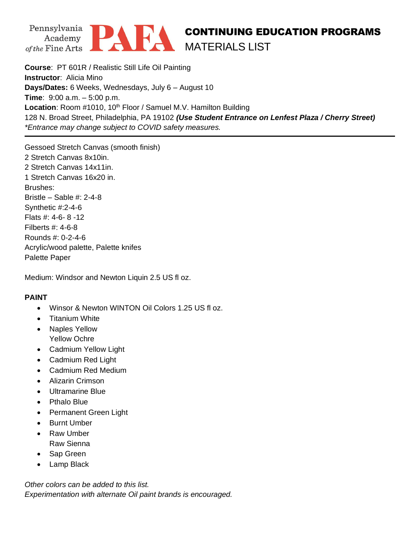



## CONTINUING EDUCATION PROGRAMS MATERIALS LIST

**Course**: PT 601R / Realistic Still Life Oil Painting **Instructor**: Alicia Mino **Days/Dates:** 6 Weeks, Wednesdays, July 6 – August 10 **Time**: 9:00 a.m. – 5:00 p.m. Location: Room #1010, 10<sup>th</sup> Floor / Samuel M.V. Hamilton Building 128 N. Broad Street, Philadelphia, PA 19102 *(Use Student Entrance on Lenfest Plaza / Cherry Street) \*Entrance may change subject to COVID safety measures.*

Gessoed Stretch Canvas (smooth finish) 2 Stretch Canvas 8x10in. 2 Stretch Canvas 14x11in. 1 Stretch Canvas 16x20 in. Brushes: Bristle – Sable #: 2-4-8 Synthetic #:2-4-6 Flats #: 4-6- 8 -12 Filberts #: 4-6-8 Rounds #: 0-2-4-6 Acrylic/wood palette, Palette knifes Palette Paper

Medium: Windsor and Newton Liquin 2.5 US fl oz.

## **PAINT**

- Winsor & Newton WINTON Oil Colors 1.25 US fl oz.
- Titanium White
- Naples Yellow Yellow Ochre
- Cadmium Yellow Light
- Cadmium Red Light
- Cadmium Red Medium
- Alizarin Crimson
- Ultramarine Blue
- Pthalo Blue
- Permanent Green Light
- **Burnt Umber**
- Raw Umber Raw Sienna
- Sap Green
- Lamp Black

*Other colors can be added to this list. Experimentation with alternate Oil paint brands is encouraged.*